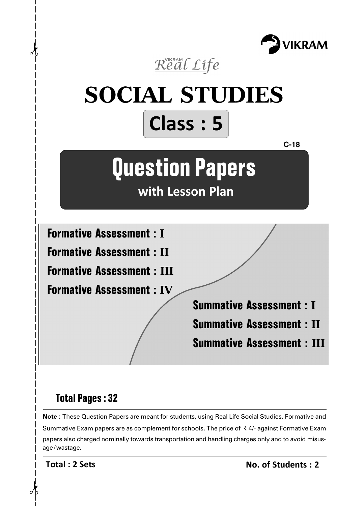



# **Total Pages : 32**

**Note :** These Question Papers are meant for students, using Real Life Social Studies. Formative and Summative Exam papers are as complement for schools. The price of  $\bar{\tau}$  4/- against Formative Exam papers also charged nominally towards transportation and handling charges only and to avoid misusage/wastage.

**Total : 2 Sets**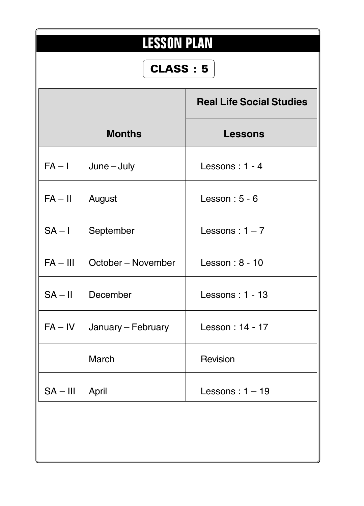| <b>LESSON PLAN</b> |                    |                                 |  |  |  |  |
|--------------------|--------------------|---------------------------------|--|--|--|--|
|                    | <b>CLASS: 5</b>    |                                 |  |  |  |  |
|                    |                    | <b>Real Life Social Studies</b> |  |  |  |  |
|                    | <b>Months</b>      | <b>Lessons</b>                  |  |  |  |  |
| $FA - I$           | $June - July$      | Lessons: 1 - 4                  |  |  |  |  |
| $FA - II$          | August             | Lesson: $5 - 6$                 |  |  |  |  |
| $SA - I$           | September          | Lessons: $1 - 7$                |  |  |  |  |
| $FA - III$         | October – November | Lesson: 8 - 10                  |  |  |  |  |
| $SA - II$          | December           | Lessons: $1 - 13$               |  |  |  |  |
| $FA - IV$          | January – February | Lesson: 14 - 17                 |  |  |  |  |
|                    | March              | Revision                        |  |  |  |  |
| $SA - III$         | April              | Lessons: $1 - 19$               |  |  |  |  |
|                    |                    |                                 |  |  |  |  |
|                    |                    |                                 |  |  |  |  |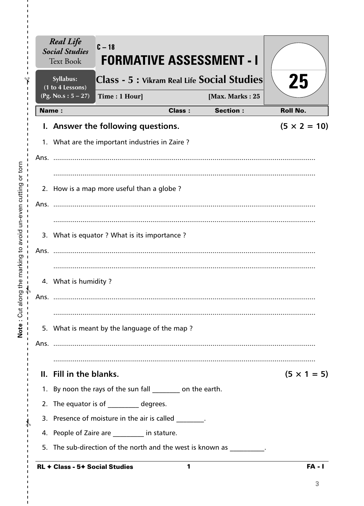|      | <b>Real Life</b><br><b>Social Studies</b><br><b>Text Book</b> | $C - 18$<br><b>FORMATIVE ASSESSMENT - I</b>                           |               |                                    |                     |
|------|---------------------------------------------------------------|-----------------------------------------------------------------------|---------------|------------------------------------|---------------------|
|      | Syllabus:<br>(1 to 4 Lessons)                                 | Class - 5 : Vikram Real Life Social Studies                           |               |                                    | 25                  |
|      | (Pg. No.s: $5 - 27$ )<br><b>Name:</b>                         | Time: 1 Hour]                                                         | <b>Class:</b> | [Max. Marks: 25<br><b>Section:</b> | <b>Roll No.</b>     |
|      |                                                               |                                                                       |               |                                    |                     |
|      |                                                               | I. Answer the following questions.                                    |               |                                    | $(5 \times 2 = 10)$ |
|      |                                                               | 1. What are the important industries in Zaire?                        |               |                                    |                     |
| Ans. |                                                               |                                                                       |               |                                    |                     |
|      |                                                               |                                                                       |               |                                    |                     |
|      |                                                               | 2. How is a map more useful than a globe?                             |               |                                    |                     |
| Ans. |                                                               |                                                                       |               |                                    |                     |
|      |                                                               |                                                                       |               |                                    |                     |
|      |                                                               | 3. What is equator ? What is its importance ?                         |               |                                    |                     |
| Ans. |                                                               |                                                                       |               |                                    |                     |
|      |                                                               |                                                                       |               |                                    |                     |
|      | 4. What is humidity?                                          |                                                                       |               |                                    |                     |
| Ans. |                                                               |                                                                       |               |                                    |                     |
|      |                                                               |                                                                       |               |                                    |                     |
|      |                                                               | 5. What is meant by the language of the map?                          |               |                                    |                     |
|      |                                                               |                                                                       |               |                                    |                     |
|      |                                                               |                                                                       |               |                                    |                     |
|      | II. Fill in the blanks.                                       |                                                                       |               |                                    | $(5 \times 1 = 5)$  |
|      |                                                               | 1. By noon the rays of the sun fall ________ on the earth.            |               |                                    |                     |
|      |                                                               | 2. The equator is of _________ degrees.                               |               |                                    |                     |
|      |                                                               | 3. Presence of moisture in the air is called Theorem                  |               |                                    |                     |
|      |                                                               | 4. People of Zaire are _______ in stature.                            |               |                                    |                     |
|      |                                                               | 5. The sub-direction of the north and the west is known as _________. |               |                                    |                     |
|      |                                                               | <b>RL ← Class - 5+ Social Studies</b>                                 | 1             |                                    | <b>FA - I</b>       |

 $\frac{1}{1}$  $\frac{1}{1}$ 

 $\mathbf I$  $\mathbf I$  $\frac{1}{1}$ 

 $\frac{1}{1}$   $\frac{1}{1}$   $\frac{1}{1}$   $\frac{1}{1}$ 

 $\bar{\mathbf{I}}$  $\bar{\mathbf{I}}$  $\bar{\mathbf{I}}$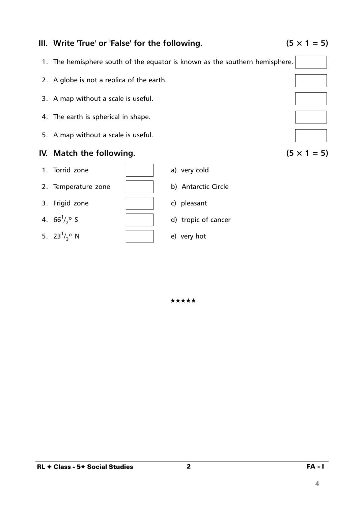

3. Frigid zone  $\vert$  (c) pleasant

 $4.~66^1/$ 

1. The hemisphere south of the equator is known as the southern hemisphere. 2. A globe is not a replica of the earth. 3. A map without a scale is useful. 4. The earth is spherical in shape. 5. A map without a scale is useful. **IV.** Match the following.  $(5 \times 1 = 5)$ 1. Torrid zone a) very cold 2. Temperature zone | b) Antarctic Circle

d) tropic of cancer

## **III.** Write 'True' or 'False' for the following.  $(5 \times 1 = 5)$

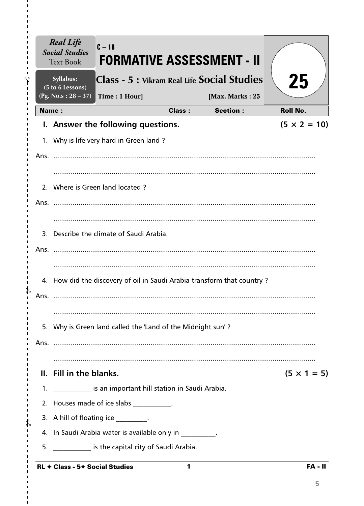|      | <b>Real Life</b><br><b>Social Studies</b><br><b>Text Book</b> | $C - 18$                                                        |               | <b>FORMATIVE ASSESSMENT - II</b>                                        |                     |
|------|---------------------------------------------------------------|-----------------------------------------------------------------|---------------|-------------------------------------------------------------------------|---------------------|
|      | Syllabus:                                                     |                                                                 |               | Class - 5 : Vikram Real Life Social Studies                             | 25                  |
|      | (5 to 6 Lessons)<br>(Pg. No.s: $28 - 37$ )                    | Time: 1 Hour]                                                   |               | [Max. Marks: 25                                                         |                     |
|      | <b>Name:</b>                                                  |                                                                 | <b>Class:</b> | <b>Section:</b>                                                         | <b>Roll No.</b>     |
|      |                                                               | I. Answer the following questions.                              |               |                                                                         | $(5 \times 2 = 10)$ |
|      |                                                               | 1. Why is life very hard in Green land?                         |               |                                                                         |                     |
|      |                                                               |                                                                 |               |                                                                         |                     |
|      |                                                               | 2. Where is Green land located?                                 |               |                                                                         |                     |
|      |                                                               |                                                                 |               |                                                                         |                     |
|      |                                                               | 3. Describe the climate of Saudi Arabia.                        |               |                                                                         |                     |
|      |                                                               |                                                                 |               |                                                                         |                     |
|      |                                                               |                                                                 |               | 4. How did the discovery of oil in Saudi Arabia transform that country? |                     |
| Ans. |                                                               |                                                                 |               |                                                                         |                     |
|      |                                                               | 5. Why is Green land called the 'Land of the Midnight sun'?     |               |                                                                         |                     |
|      |                                                               |                                                                 |               |                                                                         |                     |
|      | II. Fill in the blanks.                                       |                                                                 |               |                                                                         | $(5 \times 1 = 5)$  |
|      |                                                               | 1. ______________ is an important hill station in Saudi Arabia. |               |                                                                         |                     |
|      |                                                               | 2. Houses made of ice slabs ___________.                        |               |                                                                         |                     |
|      |                                                               | 3. A hill of floating ice ________.                             |               |                                                                         |                     |
|      |                                                               | 4. In Saudi Arabia water is available only in Theorem 2.        |               |                                                                         |                     |
| 5.   |                                                               | is the capital city of Saudi Arabia.                            |               |                                                                         |                     |
|      |                                                               | $RL \triangleleft Class - 5 \triangleleft Social Studies$       | $\mathbf{1}$  |                                                                         | FA - II             |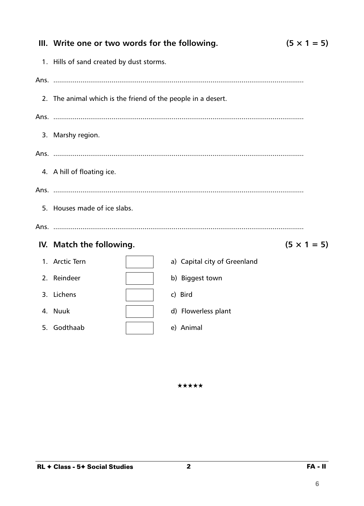| $(5 \times 1 = 5)$<br>III. Write one or two words for the following. |                              |                    |  |  |  |
|----------------------------------------------------------------------|------------------------------|--------------------|--|--|--|
| 1. Hills of sand created by dust storms.                             |                              |                    |  |  |  |
|                                                                      |                              |                    |  |  |  |
| 2. The animal which is the friend of the people in a desert.         |                              |                    |  |  |  |
|                                                                      |                              |                    |  |  |  |
| 3. Marshy region.                                                    |                              |                    |  |  |  |
|                                                                      |                              |                    |  |  |  |
| 4. A hill of floating ice.                                           |                              |                    |  |  |  |
|                                                                      |                              |                    |  |  |  |
| 5. Houses made of ice slabs.                                         |                              |                    |  |  |  |
|                                                                      |                              |                    |  |  |  |
| IV. Match the following.                                             |                              | $(5 \times 1 = 5)$ |  |  |  |
| 1. Arctic Tern                                                       | a) Capital city of Greenland |                    |  |  |  |
| 2. Reindeer                                                          | b) Biggest town              |                    |  |  |  |
| 3. Lichens                                                           | c) Bird                      |                    |  |  |  |
| 4. Nuuk                                                              | d) Flowerless plant          |                    |  |  |  |
| 5. Godthaab                                                          | e) Animal                    |                    |  |  |  |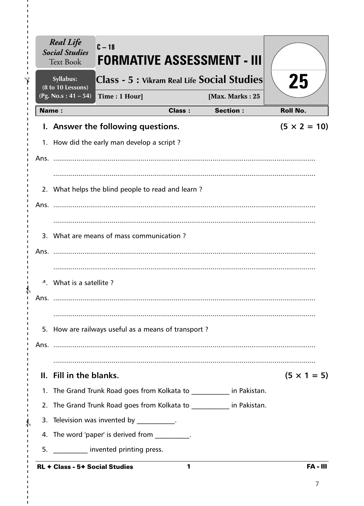|      | Syllabus:<br>(8 to 10 Lessons)        |                                                     |               | Class - 5 : Vikram Real Life Social Studies                          | 25                  |
|------|---------------------------------------|-----------------------------------------------------|---------------|----------------------------------------------------------------------|---------------------|
|      | $(Pg. No.s: 41 - 54)$<br><b>Name:</b> | Time: 1 Hour]                                       | <b>Class:</b> | [Max. Marks: 25<br><b>Section:</b>                                   | <b>Roll No.</b>     |
|      |                                       |                                                     |               |                                                                      |                     |
|      |                                       | I. Answer the following questions.                  |               |                                                                      | $(5 \times 2 = 10)$ |
|      |                                       | 1. How did the early man develop a script?          |               |                                                                      |                     |
|      |                                       |                                                     |               |                                                                      |                     |
|      |                                       |                                                     |               |                                                                      |                     |
|      |                                       | 2. What helps the blind people to read and learn?   |               |                                                                      |                     |
|      |                                       |                                                     |               |                                                                      |                     |
|      |                                       |                                                     |               |                                                                      |                     |
|      |                                       | 3. What are means of mass communication?            |               |                                                                      |                     |
|      |                                       |                                                     |               |                                                                      |                     |
|      |                                       |                                                     |               |                                                                      |                     |
|      | <sup>4</sup> . What is a satellite?   |                                                     |               |                                                                      |                     |
| Ans. |                                       |                                                     |               |                                                                      |                     |
|      |                                       |                                                     |               |                                                                      |                     |
|      |                                       | 5. How are railways useful as a means of transport? |               |                                                                      |                     |
|      |                                       |                                                     |               |                                                                      |                     |
|      |                                       |                                                     |               |                                                                      |                     |
|      | II. Fill in the blanks.               |                                                     |               |                                                                      | $(5 \times 1 = 5)$  |
|      |                                       |                                                     |               | 1. The Grand Trunk Road goes from Kolkata to __________ in Pakistan. |                     |
|      |                                       |                                                     |               | 2. The Grand Trunk Road goes from Kolkata to __________ in Pakistan. |                     |
|      |                                       | 3. Television was invented by Theorem 2.            |               |                                                                      |                     |
|      |                                       | 4. The word 'paper' is derived from                 |               |                                                                      |                     |

I,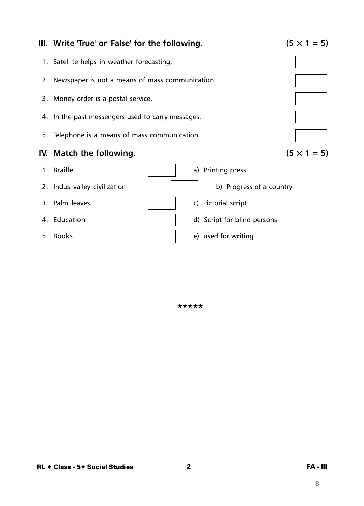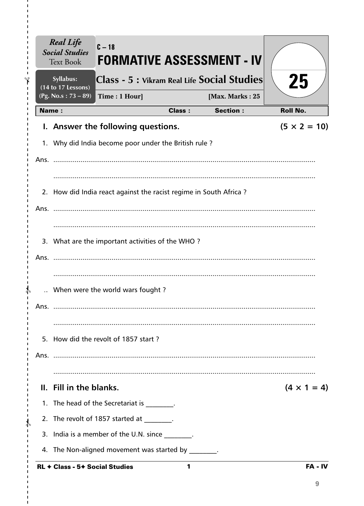|              | <b>Social Studies</b><br><b>Text Book</b> | $C - 18$                                                          |               | <b>FORMATIVE ASSESSMENT - IV</b>            |                     |
|--------------|-------------------------------------------|-------------------------------------------------------------------|---------------|---------------------------------------------|---------------------|
|              | Syllabus:<br>(14 to 17 Lessons)           |                                                                   |               | Class - 5 : Vikram Real Life Social Studies | 25                  |
|              | $(Pg. No.s : 73 - 89)$                    | Time: 1 Hour]                                                     |               | [Max. Marks: 25                             |                     |
| <b>Name:</b> |                                           |                                                                   | <b>Class:</b> | <b>Section:</b>                             | <b>Roll No.</b>     |
|              |                                           | I. Answer the following questions.                                |               |                                             | $(5 \times 2 = 10)$ |
|              |                                           | 1. Why did India become poor under the British rule?              |               |                                             |                     |
|              |                                           |                                                                   |               |                                             |                     |
|              |                                           |                                                                   |               |                                             |                     |
|              |                                           | 2. How did India react against the racist regime in South Africa? |               |                                             |                     |
|              |                                           |                                                                   |               |                                             |                     |
|              |                                           |                                                                   |               |                                             |                     |
|              |                                           | 3. What are the important activities of the WHO?                  |               |                                             |                     |
|              |                                           |                                                                   |               |                                             |                     |
| Ans.         |                                           |                                                                   |               |                                             |                     |
|              |                                           |                                                                   |               |                                             |                     |
|              |                                           | When were the world wars fought?                                  |               |                                             |                     |
| Ans.         |                                           |                                                                   |               |                                             |                     |
|              |                                           |                                                                   |               |                                             |                     |
|              |                                           | 5. How did the revolt of 1857 start?                              |               |                                             |                     |
|              |                                           |                                                                   |               |                                             |                     |
|              |                                           |                                                                   |               |                                             |                     |
|              | II. Fill in the blanks.                   |                                                                   |               |                                             | $(4 \times 1 = 4)$  |
|              |                                           | 1. The head of the Secretariat is ________.                       |               |                                             |                     |
|              |                                           | 2. The revolt of 1857 started at The revolt of 1857 started at    |               |                                             |                     |
|              |                                           | 3. India is a member of the U.N. since                            |               |                                             |                     |
|              |                                           | 4. The Non-aligned movement was started by 1991.                  |               |                                             |                     |
|              | RL + Class - 5+ Social Studies            |                                                                   | 1             |                                             | $FA - IV$           |

 $\mathbf I$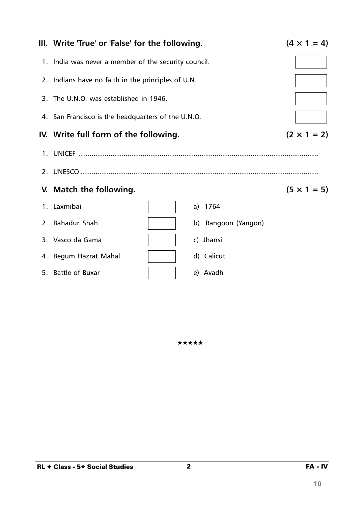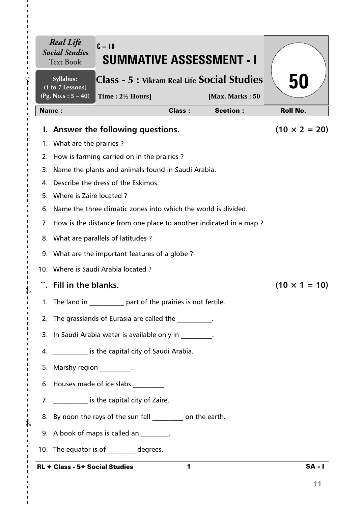| Syllabus:<br>(1 to 7 Lessons)  | Class - 5 : Vikram Real Life Social Studies                          |               |                 | 50                   |
|--------------------------------|----------------------------------------------------------------------|---------------|-----------------|----------------------|
| (Pg. No.s: $5 - 40$ )          | Time: $2\frac{1}{2}$ Hours]                                          |               | [Max. Marks: 50 |                      |
| <b>Name:</b>                   |                                                                      | <b>Class:</b> | <b>Section:</b> | <b>Roll No.</b>      |
|                                | I. Answer the following questions.                                   |               |                 | $(10 \times 2 = 20)$ |
| 1. What are the prairies?      |                                                                      |               |                 |                      |
|                                | 2. How is farming carried on in the prairies?                        |               |                 |                      |
|                                | 3. Name the plants and animals found in Saudi Arabia.                |               |                 |                      |
|                                | 4. Describe the dress of the Eskimos.                                |               |                 |                      |
| 5. Where is Zaire located?     |                                                                      |               |                 |                      |
|                                | 6. Name the three climatic zones into which the world is divided.    |               |                 |                      |
|                                | 7. How is the distance from one place to another indicated in a map? |               |                 |                      |
|                                | 8. What are parallels of latitudes?                                  |               |                 |                      |
|                                | 9. What are the important features of a globe?                       |               |                 |                      |
|                                | 10. Where is Saudi Arabia located?                                   |               |                 |                      |
| Fill in the blanks.            |                                                                      |               |                 | $(10 \times 1 = 10)$ |
|                                | 1. The land in part of the prairies is not fertile.                  |               |                 |                      |
|                                | 2. The grasslands of Eurasia are called the                          |               |                 |                      |
|                                | 3. In Saudi Arabia water is available only in                        |               |                 |                      |
|                                | 4. ____________ is the capital city of Saudi Arabia.                 |               |                 |                      |
| 5. Marshy region __________.   |                                                                      |               |                 |                      |
|                                | 6. Houses made of ice slabs [15] .                                   |               |                 |                      |
|                                | 7. ____________ is the capital city of Zaire.                        |               |                 |                      |
|                                | 8. By noon the rays of the sun fall __________ on the earth.         |               |                 |                      |
|                                | 9. A book of maps is called an _______.                              |               |                 |                      |
|                                | 10. The equator is of degrees.                                       |               |                 |                      |
| RL + Class - 5+ Social Studies |                                                                      | 1             |                 | <b>SA-1</b>          |

 $\blacksquare$ 

**11**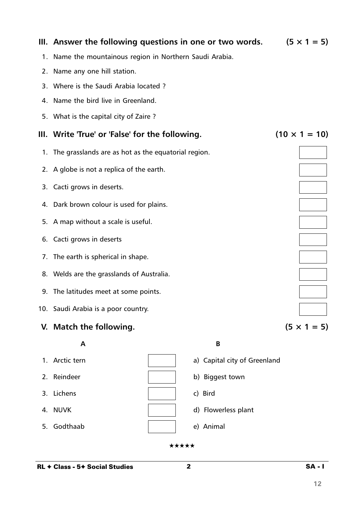|      | III. Answer the following questions in one or two words. |                              | $(5 \times 1 = 5)$   |
|------|----------------------------------------------------------|------------------------------|----------------------|
| 1.   | Name the mountainous region in Northern Saudi Arabia.    |                              |                      |
| 2.   | Name any one hill station.                               |                              |                      |
| 3.   | Where is the Saudi Arabia located?                       |                              |                      |
|      | 4. Name the bird live in Greenland.                      |                              |                      |
| 5.   | What is the capital city of Zaire?                       |                              |                      |
| III. | Write 'True' or 'False' for the following.               |                              | $(10 \times 1 = 10)$ |
|      | 1. The grasslands are as hot as the equatorial region.   |                              |                      |
|      | 2. A globe is not a replica of the earth.                |                              |                      |
|      | 3. Cacti grows in deserts.                               |                              |                      |
|      | 4. Dark brown colour is used for plains.                 |                              |                      |
|      | 5. A map without a scale is useful.                      |                              |                      |
|      | 6. Cacti grows in deserts                                |                              |                      |
| 7.   | The earth is spherical in shape.                         |                              |                      |
|      | 8. Welds are the grasslands of Australia.                |                              |                      |
|      | 9. The latitudes meet at some points.                    |                              |                      |
|      | 10. Saudi Arabia is a poor country.                      |                              |                      |
|      | V. Match the following.                                  |                              | $(5 \times 1 = 5)$   |
|      | A                                                        | B                            |                      |
| 1.   | Arctic tern                                              | a) Capital city of Greenland |                      |
| 2.   | Reindeer                                                 | b) Biggest town              |                      |

- 3. Lichens c) and c) Bird
- 
- 5. Godthaab e) Animal
- 
- 4. NUVK and a set of the set of the set of the d) Flowerless plant
	-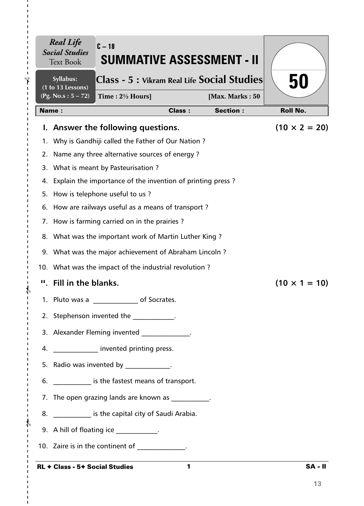|              | <b>Real Life</b><br><b>Social Studies</b><br><b>Text Book</b> | $C - 18$<br><b>SUMMATIVE ASSESSMENT - II</b>                                                                    |               |                 |                      |
|--------------|---------------------------------------------------------------|-----------------------------------------------------------------------------------------------------------------|---------------|-----------------|----------------------|
|              | Syllabus:<br>$(1 to 13$ Lessons)                              | Class - 5 : Vikram Real Life Social Studies                                                                     |               |                 | 50                   |
|              | (Pg. No.s : $5 - 72$ )                                        | Time: $2\frac{1}{2}$ Hours]                                                                                     |               | [Max. Marks: 50 |                      |
| <b>Name:</b> |                                                               |                                                                                                                 | <b>Class:</b> | <b>Section:</b> | <b>Roll No.</b>      |
|              |                                                               | I. Answer the following questions.                                                                              |               |                 | $(10 \times 2 = 20)$ |
| 1.           |                                                               | Why is Gandhiji called the Father of Our Nation?                                                                |               |                 |                      |
| 2.           |                                                               | Name any three alternative sources of energy?                                                                   |               |                 |                      |
| 3.           |                                                               | What is meant by Pasteurisation?                                                                                |               |                 |                      |
|              |                                                               | 4. Explain the importance of the invention of printing press?                                                   |               |                 |                      |
|              |                                                               | 5. How is telephone useful to us?                                                                               |               |                 |                      |
|              |                                                               | 6. How are railways useful as a means of transport?                                                             |               |                 |                      |
|              |                                                               | 7. How is farming carried on in the prairies?                                                                   |               |                 |                      |
|              |                                                               | 8. What was the important work of Martin Luther King?                                                           |               |                 |                      |
|              |                                                               | 9. What was the major achievement of Abraham Lincoln?                                                           |               |                 |                      |
|              |                                                               | 10. What was the impact of the industrial revolution?                                                           |               |                 |                      |
|              | ". Fill in the blanks.                                        |                                                                                                                 |               |                 | $(10 \times 1 = 10)$ |
|              |                                                               | 1. Pluto was a<br>of Socrates.                                                                                  |               |                 |                      |
|              |                                                               | 2. Stephenson invented the 2000 .                                                                               |               |                 |                      |
|              |                                                               | 3. Alexander Fleming invented _____________.                                                                    |               |                 |                      |
|              |                                                               | 4. <b>A</b> invented printing press.                                                                            |               |                 |                      |
|              |                                                               | 5. Radio was invented by Fig. 2. The set of the set of the set of the set of the set of the set of the set of t |               |                 |                      |
|              |                                                               | 6. _____________ is the fastest means of transport.                                                             |               |                 |                      |
|              |                                                               | 7. The open grazing lands are known as The open grazing                                                         |               |                 |                      |
|              |                                                               | 8. Some is the capital city of Saudi Arabia.                                                                    |               |                 |                      |
|              |                                                               | 9. A hill of floating ice ___________.                                                                          |               |                 |                      |
|              |                                                               | 10. Zaire is in the continent of                                                                                |               |                 |                      |
|              |                                                               | <b>RL ← Class - 5← Social Studies</b>                                                                           | 1             |                 | <b>SA-II</b>         |

### RL ✦ Class - 5✦ Social Studies

 $- \frac{2}{3}$ 

I.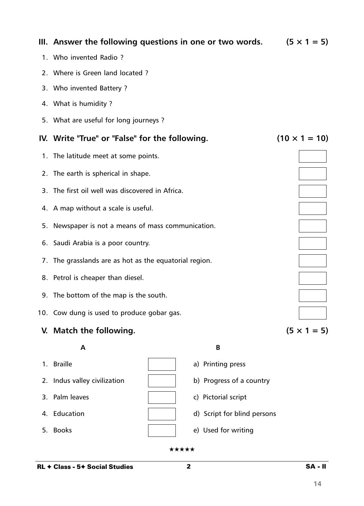|    | 3. Who invented Battery?                               |  |                             |                      |  |  |  |
|----|--------------------------------------------------------|--|-----------------------------|----------------------|--|--|--|
|    | 4. What is humidity?                                   |  |                             |                      |  |  |  |
|    | 5. What are useful for long journeys ?                 |  |                             |                      |  |  |  |
|    | IV. Write "True" or "False" for the following.         |  |                             | $(10 \times 1 = 10)$ |  |  |  |
|    | 1. The latitude meet at some points.                   |  |                             |                      |  |  |  |
|    | 2. The earth is spherical in shape.                    |  |                             |                      |  |  |  |
|    | 3. The first oil well was discovered in Africa.        |  |                             |                      |  |  |  |
|    | 4. A map without a scale is useful.                    |  |                             |                      |  |  |  |
| 5. | Newspaper is not a means of mass communication.        |  |                             |                      |  |  |  |
|    | 6. Saudi Arabia is a poor country.                     |  |                             |                      |  |  |  |
|    | 7. The grasslands are as hot as the equatorial region. |  |                             |                      |  |  |  |
|    | 8. Petrol is cheaper than diesel.                      |  |                             |                      |  |  |  |
|    | 9. The bottom of the map is the south.                 |  |                             |                      |  |  |  |
|    | 10. Cow dung is used to produce gobar gas.             |  |                             |                      |  |  |  |
|    | V. Match the following.                                |  |                             | $(5 \times 1 = 5)$   |  |  |  |
|    | A                                                      |  | B                           |                      |  |  |  |
|    | 1. Braille                                             |  | a) Printing press           |                      |  |  |  |
|    | 2. Indus valley civilization                           |  | b) Progress of a country    |                      |  |  |  |
| 3. | Palm leaves                                            |  | c) Pictorial script         |                      |  |  |  |
| 4. | Education                                              |  | d) Script for blind persons |                      |  |  |  |
| 5. | <b>Books</b>                                           |  | e) Used for writing         |                      |  |  |  |
|    | ★★★★★                                                  |  |                             |                      |  |  |  |

# **III.** Answer the following questions in one or two words.  $(5 \times 1 = 5)$

- 1. Who invented Radio ?
- 2. Where is Green land located ?
- 3. Who invented Battery ?
- 4. What is humidity ?
- 5. What are useful for long journeys ?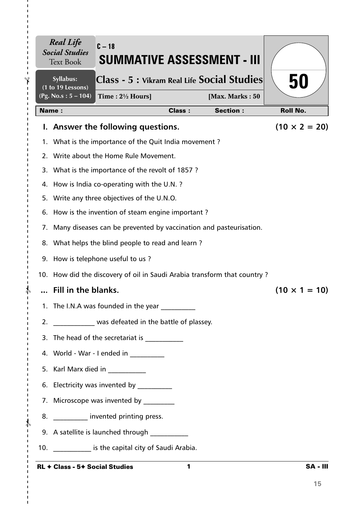|          | <b>Real Life</b><br><b>Social Studies</b><br><b>Text Book</b> | $C - 18$<br>SUMMATIVE ASSESSMENT - III                                                |               |                                    |                      |
|----------|---------------------------------------------------------------|---------------------------------------------------------------------------------------|---------------|------------------------------------|----------------------|
|          | Syllabus:<br>(1 to 19 Lessons)                                | Class - 5 : Vikram Real Life Social Studies                                           |               |                                    | 50                   |
|          | (Pg. No.s: $5 - 104$ )<br><b>Name:</b>                        | Time: $2\frac{1}{2}$ Hours]                                                           | <b>Class:</b> | [Max. Marks: 50<br><b>Section:</b> | <b>Roll No.</b>      |
|          |                                                               |                                                                                       |               |                                    |                      |
| ь.<br>1. |                                                               | Answer the following questions.<br>What is the importance of the Quit India movement? |               |                                    | $(10 \times 2 = 20)$ |
| 2.       |                                                               | Write about the Home Rule Movement.                                                   |               |                                    |                      |
| 3.       |                                                               | What is the importance of the revolt of 1857?                                         |               |                                    |                      |
| 4.       |                                                               | How is India co-operating with the U.N.?                                              |               |                                    |                      |
| 5.       |                                                               | Write any three objectives of the U.N.O.                                              |               |                                    |                      |
|          |                                                               | 6. How is the invention of steam engine important?                                    |               |                                    |                      |
| 7.       |                                                               | Many diseases can be prevented by vaccination and pasteurisation.                     |               |                                    |                      |
| 8.       |                                                               | What helps the blind people to read and learn?                                        |               |                                    |                      |
|          |                                                               | 9. How is telephone useful to us?                                                     |               |                                    |                      |
|          |                                                               | 10. How did the discovery of oil in Saudi Arabia transform that country?              |               |                                    |                      |
|          | Fill in the blanks.                                           |                                                                                       |               |                                    | $(10 \times 1 = 10)$ |
|          |                                                               | 1. The I.N.A was founded in the year                                                  |               |                                    |                      |
| 2.       |                                                               | was defeated in the battle of plassey.                                                |               |                                    |                      |
| 3.       |                                                               | The head of the secretariat is ____________                                           |               |                                    |                      |
|          |                                                               | 4. World - War - I ended in __________                                                |               |                                    |                      |
|          |                                                               | 5. Karl Marx died in                                                                  |               |                                    |                      |
|          |                                                               | 6. Electricity was invented by                                                        |               |                                    |                      |
|          |                                                               | 7. Microscope was invented by ________                                                |               |                                    |                      |
| 8.       |                                                               | __________ invented printing press.                                                   |               |                                    |                      |
|          |                                                               | 9. A satellite is launched through                                                    |               |                                    |                      |
| 10.      |                                                               | _____________ is the capital city of Saudi Arabia.                                    |               |                                    |                      |
|          |                                                               |                                                                                       |               |                                    |                      |

 $-\frac{1}{6}$ 

п

 $\blacksquare$  $\blacksquare$ т

 $-\frac{4}{5}$ 

 $\mathbf I$  $\mathbf I$  $\mathbf{I}$ ï

I. п  $\mathbf I$  $\mathbf{I}$  $\mathbf I$  $\mathbf{I}$ 

 $-\frac{1}{2}$ 

 $\mathbf{I}$  $\mathbf{I}$  $\mathbf I$  $\blacksquare$  $\mathbf I$  $\blacksquare$  $\blacksquare$ 

 $\blacksquare$  $\blacksquare$ 

1 SA - III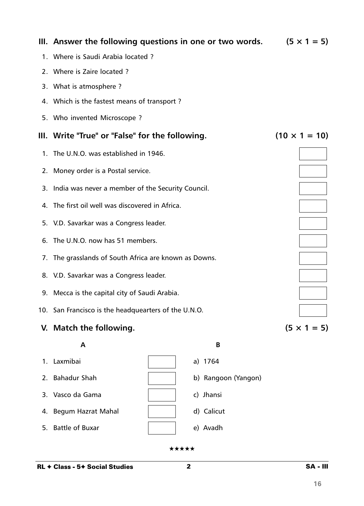| III. Answer the following questions in one or two words. | $(5 \times 1 = 5)$   |
|----------------------------------------------------------|----------------------|
| 1. Where is Saudi Arabia located?                        |                      |
| 2. Where is Zaire located?                               |                      |
| 3. What is atmosphere?                                   |                      |
| 4. Which is the fastest means of transport?              |                      |
| 5. Who invented Microscope?                              |                      |
| III. Write "True" or "False" for the following.          | $(10 \times 1 = 10)$ |
| 1. The U.N.O. was established in 1946.                   |                      |
| 2. Money order is a Postal service.                      |                      |
| 3. India was never a member of the Security Council.     |                      |
| 4. The first oil well was discovered in Africa.          |                      |
| 5. V.D. Savarkar was a Congress leader.                  |                      |
| 6. The U.N.O. now has 51 members.                        |                      |
| 7. The grasslands of South Africa are known as Downs.    |                      |
| 8. V.D. Savarkar was a Congress leader.                  |                      |
| 9. Mecca is the capital city of Saudi Arabia.            |                      |
| 10. San Francisco is the headquearters of the U.N.O.     |                      |
| V. Match the following.                                  | $(5 \times 1 = 5)$   |

**A B** 1. Laxmibai a) 1764 2. Bahadur Shah **b**) Rangoon (Yangon) 3. Vasco da Gama di c) Jhansi 4. Begum Hazrat Mahal (d) Calicut 5. Battle of Buxar and the selection of the state of Buxar and the selection of the state of the state of the state of the state of the state of the state of the state of the state of the state of the state of the state of

2 SA - III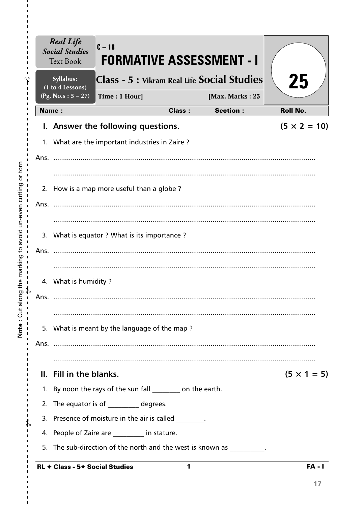| Syllabus:<br>(1 to 4 Lessons) | Class - 5 : Vikram Real Life Social Studies                |               |                 | 25                  |
|-------------------------------|------------------------------------------------------------|---------------|-----------------|---------------------|
| (Pg. No.s: $5 - 27$ )         | Time: 1 Hour]                                              |               | [Max. Marks: 25 |                     |
| Name:                         |                                                            | <b>Class:</b> | <b>Section:</b> | <b>Roll No.</b>     |
|                               | I. Answer the following questions.                         |               |                 | $(5 \times 2 = 10)$ |
|                               | 1. What are the important industries in Zaire?             |               |                 |                     |
| Ans.                          |                                                            |               |                 |                     |
|                               |                                                            |               |                 |                     |
|                               | 2. How is a map more useful than a globe?                  |               |                 |                     |
| Ans.                          |                                                            |               |                 |                     |
|                               |                                                            |               |                 |                     |
|                               | 3. What is equator ? What is its importance ?              |               |                 |                     |
| Ans.                          |                                                            |               |                 |                     |
|                               |                                                            |               |                 |                     |
| 4. What is humidity?          |                                                            |               |                 |                     |
| Ans.                          |                                                            |               |                 |                     |
|                               |                                                            |               |                 |                     |
|                               | 5. What is meant by the language of the map?               |               |                 |                     |
|                               |                                                            |               |                 |                     |
|                               |                                                            |               |                 |                     |
| II. Fill in the blanks.       |                                                            |               |                 | $(5 \times 1 = 5)$  |
|                               | 1. By noon the rays of the sun fall ________ on the earth. |               |                 |                     |
|                               | 2. The equator is of _________ degrees.                    |               |                 |                     |
|                               | 3. Presence of moisture in the air is called Theorem       |               |                 |                     |
|                               | 4. People of Zaire are ________ in stature.                |               |                 |                     |
|                               | 5. The sub-direction of the north and the west is known as |               |                 |                     |

 $\frac{1}{1}$  $\mathbf I$  $\mathbf I$  $\mathbf I$ 

 $\mathbf{I}$  $\mathbf I$  $\mathbf I$  $\frac{1}{1}$ 

 $\frac{1}{1}$  $\bar{\mathbf{I}}$  $\mathbf{I}$  $\mathbf{I}$  $\mathbf{I}$  $\mathbf{I}$  $\mathbf{I}$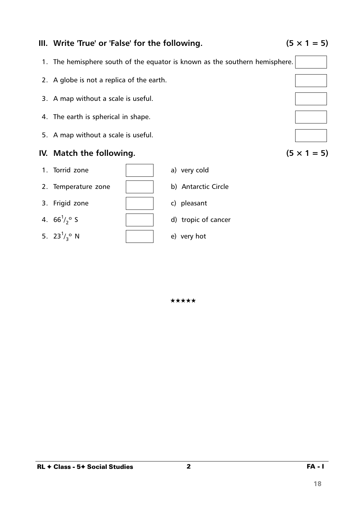

## **III.** Write 'True' or 'False' for the following.  $(5 \times 1 = 5)$

- 1. The hemisphere south of the equator is known as the southern hemisphere.
- 2. A globe is not a replica of the earth.
- 3. A map without a scale is useful.
- 4. The earth is spherical in shape.
- 5. A map without a scale is useful.

# **IV.** Match the following.  $(5 \times 1 = 5)$



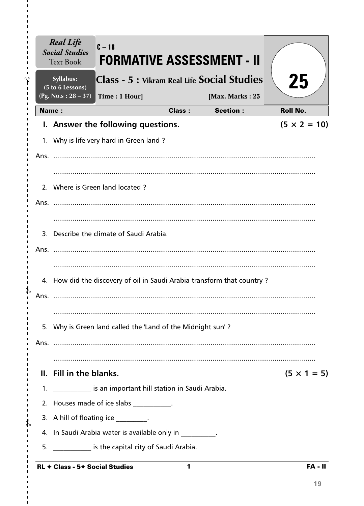|      | <b>Real Life</b><br><b>Social Studies</b><br><b>Text Book</b> | $C - 18$                                                     |               | FORMATIVE ASSESSMENT - II                                               |                     |
|------|---------------------------------------------------------------|--------------------------------------------------------------|---------------|-------------------------------------------------------------------------|---------------------|
|      | Syllabus:<br>(5 to 6 Lessons)                                 |                                                              |               | Class - 5 : Vikram Real Life Social Studies                             | 25                  |
|      | (Pg. No.s: $28 - 37$ )                                        | Time: 1 Hour]                                                |               | [Max. Marks: 25                                                         |                     |
|      | Name:                                                         |                                                              | <b>Class:</b> | <b>Section:</b>                                                         | <b>Roll No.</b>     |
|      |                                                               | I. Answer the following questions.                           |               |                                                                         | $(5 \times 2 = 10)$ |
|      |                                                               | 1. Why is life very hard in Green land?                      |               |                                                                         |                     |
|      |                                                               |                                                              |               |                                                                         |                     |
|      |                                                               | 2. Where is Green land located?                              |               |                                                                         |                     |
|      |                                                               |                                                              |               |                                                                         |                     |
|      |                                                               | 3. Describe the climate of Saudi Arabia.                     |               |                                                                         |                     |
| Ans. |                                                               |                                                              |               |                                                                         |                     |
|      |                                                               |                                                              |               | 4. How did the discovery of oil in Saudi Arabia transform that country? |                     |
| Ans. |                                                               |                                                              |               |                                                                         |                     |
|      |                                                               | 5. Why is Green land called the 'Land of the Midnight sun'?  |               |                                                                         |                     |
|      |                                                               |                                                              |               |                                                                         |                     |
|      | II. Fill in the blanks.                                       |                                                              |               |                                                                         | $(5 \times 1 = 5)$  |
|      |                                                               | 1. In the same is an important hill station in Saudi Arabia. |               |                                                                         |                     |
|      |                                                               | 2. Houses made of ice slabs __________.                      |               |                                                                         |                     |
|      |                                                               | 3. A hill of floating ice _________.                         |               |                                                                         |                     |
|      |                                                               | 4. In Saudi Arabia water is available only in Theorem 2.     |               |                                                                         |                     |
|      |                                                               | 5. S. School is the capital city of Saudi Arabia.            |               |                                                                         |                     |
|      | RL + Class - 5+ Social Studies                                |                                                              | 1             |                                                                         | <b>FA - II</b>      |

 $\blacksquare$  $\mathbf I$ f.

I.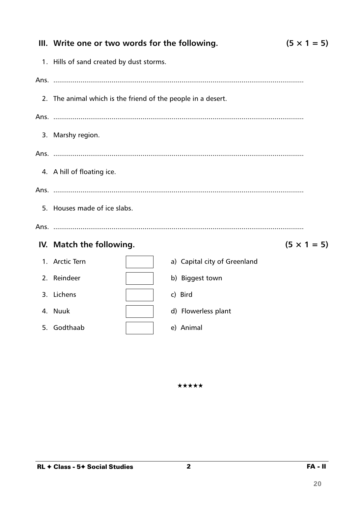|      | $(5 \times 1 = 5)$<br>III. Write one or two words for the following. |                              |                    |  |  |  |
|------|----------------------------------------------------------------------|------------------------------|--------------------|--|--|--|
|      | 1. Hills of sand created by dust storms.                             |                              |                    |  |  |  |
|      |                                                                      |                              |                    |  |  |  |
|      | 2. The animal which is the friend of the people in a desert.         |                              |                    |  |  |  |
|      |                                                                      |                              |                    |  |  |  |
|      | 3. Marshy region.                                                    |                              |                    |  |  |  |
|      |                                                                      |                              |                    |  |  |  |
|      | 4. A hill of floating ice.                                           |                              |                    |  |  |  |
|      |                                                                      |                              |                    |  |  |  |
|      | 5. Houses made of ice slabs.                                         |                              |                    |  |  |  |
| Ans. |                                                                      |                              |                    |  |  |  |
|      | IV. Match the following.                                             |                              | $(5 \times 1 = 5)$ |  |  |  |
|      | 1. Arctic Tern                                                       | a) Capital city of Greenland |                    |  |  |  |
|      | 2. Reindeer                                                          | b) Biggest town              |                    |  |  |  |
|      | 3. Lichens                                                           | c) Bird                      |                    |  |  |  |
|      | 4. Nuuk                                                              | d) Flowerless plant          |                    |  |  |  |
|      | 5. Godthaab                                                          | e) Animal                    |                    |  |  |  |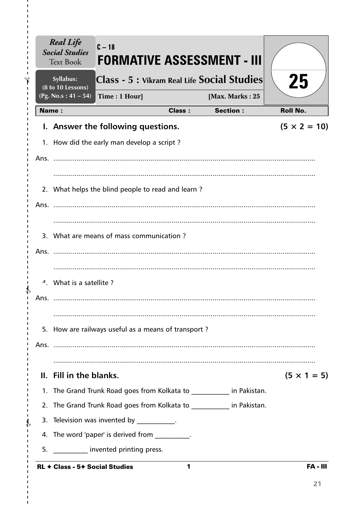|       | Syllabus:<br>(8 to 10 Lessons)      |                                                     |               | Class - 5 : Vikram Real Life Social Studies                           | 25                  |
|-------|-------------------------------------|-----------------------------------------------------|---------------|-----------------------------------------------------------------------|---------------------|
|       | (Pg. No.s: $41 - 54$ )              | Time: 1 Hour]                                       |               | [Max. Marks: 25                                                       |                     |
| Name: |                                     |                                                     | <b>Class:</b> | <b>Section:</b>                                                       | <b>Roll No.</b>     |
|       |                                     | I. Answer the following questions.                  |               |                                                                       | $(5 \times 2 = 10)$ |
|       |                                     | 1. How did the early man develop a script?          |               |                                                                       |                     |
|       |                                     |                                                     |               |                                                                       |                     |
|       |                                     |                                                     |               |                                                                       |                     |
|       |                                     | 2. What helps the blind people to read and learn?   |               |                                                                       |                     |
| Ans.  |                                     |                                                     |               |                                                                       |                     |
|       |                                     |                                                     |               |                                                                       |                     |
|       |                                     | 3. What are means of mass communication?            |               |                                                                       |                     |
|       |                                     |                                                     |               |                                                                       |                     |
|       |                                     |                                                     |               |                                                                       |                     |
|       | <sup>4</sup> . What is a satellite? |                                                     |               |                                                                       |                     |
| Ans.  |                                     |                                                     |               |                                                                       |                     |
|       |                                     |                                                     |               |                                                                       |                     |
|       |                                     | 5. How are railways useful as a means of transport? |               |                                                                       |                     |
|       |                                     |                                                     |               |                                                                       |                     |
|       |                                     |                                                     |               |                                                                       |                     |
|       | II. Fill in the blanks.             |                                                     |               |                                                                       | $(5 \times 1 = 5)$  |
|       |                                     |                                                     |               | 1. The Grand Trunk Road goes from Kolkata to ___________ in Pakistan. |                     |
|       |                                     |                                                     |               | 2. The Grand Trunk Road goes from Kolkata to __________ in Pakistan.  |                     |
|       |                                     | 3. Television was invented by __________.           |               |                                                                       |                     |
|       |                                     | 4. The word 'paper' is derived from                 |               |                                                                       |                     |
|       |                                     | 5. <b>Invented printing press.</b>                  |               |                                                                       |                     |

 $\mathbf{I}$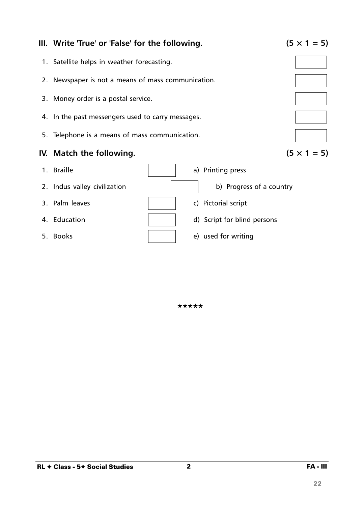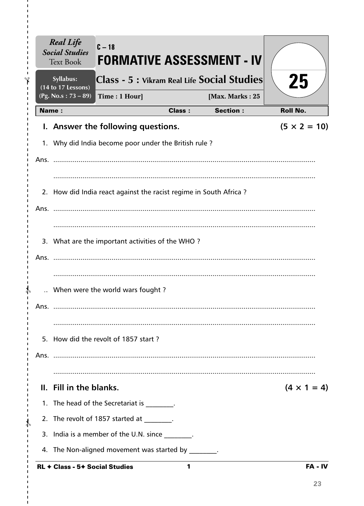|       | Syllabus:<br>(14 to 17 Lessons) |                                                                   |               | Class - 5 : Vikram Real Life Social Studies | 25                  |
|-------|---------------------------------|-------------------------------------------------------------------|---------------|---------------------------------------------|---------------------|
|       | (Pg. No.s: $73 - 89$ )          | Time: 1 Hour]                                                     |               | [Max. Marks: 25                             |                     |
| Name: |                                 |                                                                   | <b>Class:</b> | <b>Section:</b>                             | <b>Roll No.</b>     |
|       |                                 | I. Answer the following questions.                                |               |                                             | $(5 \times 2 = 10)$ |
|       |                                 | 1. Why did India become poor under the British rule?              |               |                                             |                     |
|       |                                 |                                                                   |               |                                             |                     |
|       |                                 |                                                                   |               |                                             |                     |
|       |                                 | 2. How did India react against the racist regime in South Africa? |               |                                             |                     |
|       | Ans.                            |                                                                   |               |                                             |                     |
|       |                                 |                                                                   |               |                                             |                     |
|       |                                 | 3. What are the important activities of the WHO?                  |               |                                             |                     |
| Ans.  |                                 |                                                                   |               |                                             |                     |
|       |                                 |                                                                   |               |                                             |                     |
|       |                                 | When were the world wars fought?                                  |               |                                             |                     |
| Ans.  |                                 |                                                                   |               |                                             |                     |
|       |                                 |                                                                   |               |                                             |                     |
|       |                                 |                                                                   |               |                                             |                     |
|       |                                 | 5. How did the revolt of 1857 start?                              |               |                                             |                     |
|       |                                 |                                                                   |               |                                             |                     |
|       |                                 |                                                                   |               |                                             |                     |
|       | II. Fill in the blanks.         |                                                                   |               |                                             | $(4 \times 1 = 4)$  |
|       |                                 | 1. The head of the Secretariat is ________.                       |               |                                             |                     |
|       |                                 | 2. The revolt of 1857 started at _______.                         |               |                                             |                     |
|       |                                 | 3. India is a member of the U.N. since                            |               |                                             |                     |

 $\mathbf{I}$ 

> > $\blacksquare$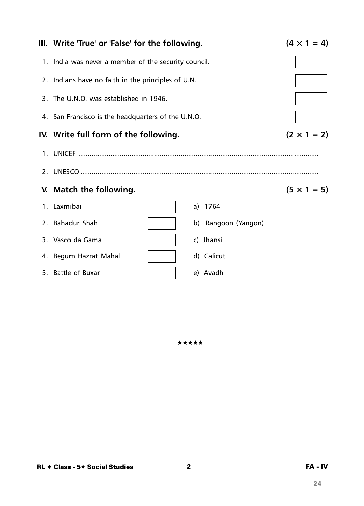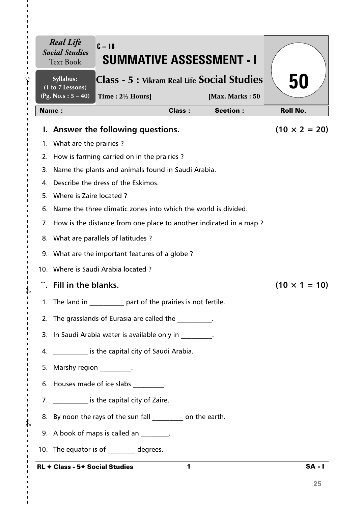| Syllabus:<br>(1 to 7 Lessons)  | Class - 5 : Vikram Real Life Social Studies                          |               |                 | 50                   |
|--------------------------------|----------------------------------------------------------------------|---------------|-----------------|----------------------|
| $(Pg. No.s: 5 - 40)$           | Time: $2\frac{1}{2}$ Hours]                                          |               | [Max. Marks: 50 |                      |
| <b>Name:</b>                   |                                                                      | <b>Class:</b> | <b>Section:</b> | <b>Roll No.</b>      |
|                                | I. Answer the following questions.                                   |               |                 | $(10 \times 2 = 20)$ |
| 1. What are the prairies?      |                                                                      |               |                 |                      |
|                                | 2. How is farming carried on in the prairies?                        |               |                 |                      |
|                                | 3. Name the plants and animals found in Saudi Arabia.                |               |                 |                      |
|                                | 4. Describe the dress of the Eskimos.                                |               |                 |                      |
| 5. Where is Zaire located?     |                                                                      |               |                 |                      |
|                                | 6. Name the three climatic zones into which the world is divided.    |               |                 |                      |
|                                | 7. How is the distance from one place to another indicated in a map? |               |                 |                      |
|                                | 8. What are parallels of latitudes?                                  |               |                 |                      |
|                                | 9. What are the important features of a globe?                       |               |                 |                      |
|                                | 10. Where is Saudi Arabia located?                                   |               |                 |                      |
| Fill in the blanks.            |                                                                      |               |                 | $(10 \times 1 = 10)$ |
|                                | 1. The land in part of the prairies is not fertile.                  |               |                 |                      |
|                                | 2. The grasslands of Eurasia are called the                          |               |                 |                      |
|                                | 3. In Saudi Arabia water is available only in                        |               |                 |                      |
|                                | 4. ____________ is the capital city of Saudi Arabia.                 |               |                 |                      |
| 5. Marshy region __________.   |                                                                      |               |                 |                      |
|                                | 6. Houses made of ice slabs [15] .                                   |               |                 |                      |
|                                | 7. ____________ is the capital city of Zaire.                        |               |                 |                      |
|                                | 8. By noon the rays of the sun fall __________ on the earth.         |               |                 |                      |
|                                | 9. A book of maps is called an _______.                              |               |                 |                      |
|                                | 10. The equator is of degrees.                                       |               |                 |                      |
| RL + Class - 5+ Social Studies |                                                                      | 1             |                 | <b>SA-1</b>          |

I.

I.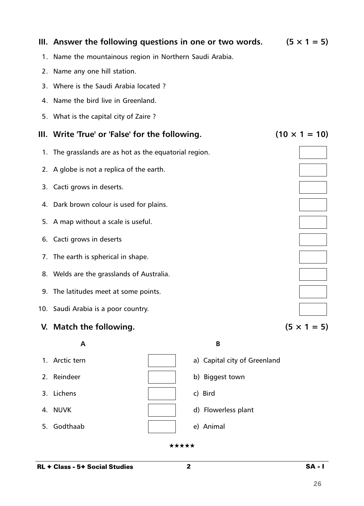|    | III. Answer the following questions in one or two words. |                              | $(5 \times 1 = 5)$   |
|----|----------------------------------------------------------|------------------------------|----------------------|
| 1. | Name the mountainous region in Northern Saudi Arabia.    |                              |                      |
| 2. | Name any one hill station.                               |                              |                      |
|    | 3. Where is the Saudi Arabia located?                    |                              |                      |
|    | 4. Name the bird live in Greenland.                      |                              |                      |
| 5. | What is the capital city of Zaire?                       |                              |                      |
|    | III. Write 'True' or 'False' for the following.          |                              | $(10 \times 1 = 10)$ |
|    | 1. The grasslands are as hot as the equatorial region.   |                              |                      |
|    | 2. A globe is not a replica of the earth.                |                              |                      |
|    | 3. Cacti grows in deserts.                               |                              |                      |
|    | 4. Dark brown colour is used for plains.                 |                              |                      |
| 5. | A map without a scale is useful.                         |                              |                      |
|    | 6. Cacti grows in deserts                                |                              |                      |
| 7. | The earth is spherical in shape.                         |                              |                      |
|    | 8. Welds are the grasslands of Australia.                |                              |                      |
|    | 9. The latitudes meet at some points.                    |                              |                      |
|    | 10. Saudi Arabia is a poor country.                      |                              |                      |
|    | V. Match the following.                                  |                              | $(5 \times 1 = 5)$   |
|    | A                                                        | B                            |                      |
|    | 1. Arctic tern                                           | a) Capital city of Greenland |                      |
| 2. | Reindeer                                                 | b) Biggest town              |                      |

- 3. Lichens c) and c) Bird
- 
- 5. Godthaab e) Animal
- 
- 4. NUVK and a set of the set of the set of the d) Flowerless plant
	-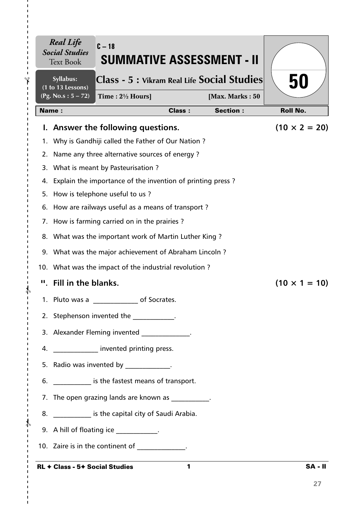| <b>Real Life</b><br><b>Social Studies</b><br><b>Text Book</b> | $C - 18$<br><b>SUMMATIVE ASSESSMENT - II</b>                                                                    |               |                                    |                      |
|---------------------------------------------------------------|-----------------------------------------------------------------------------------------------------------------|---------------|------------------------------------|----------------------|
| Syllabus:<br>(1 to 13 Lessons)<br>(Pg. No.s: 5 – 72)          | Class - 5 : Vikram Real Life Social Studies                                                                     |               |                                    | 50                   |
| <b>Name:</b>                                                  | Time: $2\frac{1}{2}$ Hours]                                                                                     | <b>Class:</b> | [Max. Marks: 50<br><b>Section:</b> | <b>Roll No.</b>      |
|                                                               | I. Answer the following questions.                                                                              |               |                                    | $(10 \times 2 = 20)$ |
| 1.                                                            | Why is Gandhiji called the Father of Our Nation?                                                                |               |                                    |                      |
| 2.                                                            | Name any three alternative sources of energy?                                                                   |               |                                    |                      |
| 3.                                                            | What is meant by Pasteurisation?                                                                                |               |                                    |                      |
| 4.                                                            | Explain the importance of the invention of printing press?                                                      |               |                                    |                      |
|                                                               | 5. How is telephone useful to us?                                                                               |               |                                    |                      |
|                                                               | 6. How are railways useful as a means of transport?                                                             |               |                                    |                      |
|                                                               | 7. How is farming carried on in the prairies?                                                                   |               |                                    |                      |
|                                                               | 8. What was the important work of Martin Luther King?                                                           |               |                                    |                      |
|                                                               | 9. What was the major achievement of Abraham Lincoln?                                                           |               |                                    |                      |
|                                                               | 10. What was the impact of the industrial revolution?                                                           |               |                                    |                      |
|                                                               | ". Fill in the blanks.                                                                                          |               |                                    | $(10 \times 1 = 10)$ |
|                                                               | 1. Pluto was a<br>of Socrates.                                                                                  |               |                                    |                      |
|                                                               | 2. Stephenson invented the manuscript of the state of the state of the state of the state of the state of the s |               |                                    |                      |
|                                                               | 3. Alexander Fleming invented _____________.                                                                    |               |                                    |                      |
|                                                               | 4. <b>Invented printing press.</b>                                                                              |               |                                    |                      |
|                                                               | 5. Radio was invented by ____________.                                                                          |               |                                    |                      |
|                                                               | 6. _____________ is the fastest means of transport.                                                             |               |                                    |                      |
|                                                               | 7. The open grazing lands are known as The open grazing                                                         |               |                                    |                      |
|                                                               | 8. _____________ is the capital city of Saudi Arabia.                                                           |               |                                    |                      |
|                                                               | 9. A hill of floating ice ____________.                                                                         |               |                                    |                      |
|                                                               | 10. Zaire is in the continent of                                                                                |               |                                    |                      |
|                                                               | <b>RL ← Class - 5← Social Studies</b>                                                                           | 1             |                                    | <b>SA-II</b>         |

### RL ✦ Class - 5✦ Social Studies

 $- \frac{2}{3}$ 

I.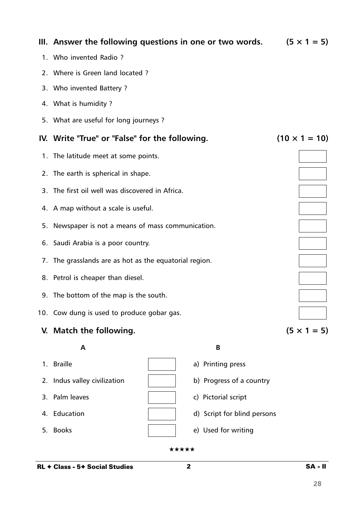|    | 3. Who invented Battery?                               |                             |                      |
|----|--------------------------------------------------------|-----------------------------|----------------------|
|    | 4. What is humidity?                                   |                             |                      |
|    | 5. What are useful for long journeys ?                 |                             |                      |
|    | IV. Write "True" or "False" for the following.         |                             | $(10 \times 1 = 10)$ |
|    | 1. The latitude meet at some points.                   |                             |                      |
|    | 2. The earth is spherical in shape.                    |                             |                      |
|    | 3. The first oil well was discovered in Africa.        |                             |                      |
|    | 4. A map without a scale is useful.                    |                             |                      |
|    | 5. Newspaper is not a means of mass communication.     |                             |                      |
|    | 6. Saudi Arabia is a poor country.                     |                             |                      |
|    | 7. The grasslands are as hot as the equatorial region. |                             |                      |
|    | 8. Petrol is cheaper than diesel.                      |                             |                      |
|    | 9. The bottom of the map is the south.                 |                             |                      |
|    | 10. Cow dung is used to produce gobar gas.             |                             |                      |
|    | V. Match the following.                                |                             | $(5 \times 1 = 5)$   |
|    | A                                                      | B                           |                      |
|    | 1. Braille                                             | a) Printing press           |                      |
|    | 2. Indus valley civilization                           | b) Progress of a country    |                      |
| 3. | Palm leaves                                            | c) Pictorial script         |                      |
| 4. | Education                                              | d) Script for blind persons |                      |
| 5. | <b>Books</b>                                           | e) Used for writing         |                      |
|    |                                                        | ★★★★★                       |                      |

**III.** Answer the following questions in one or two words.  $(5 \times 1 = 5)$ 

1. Who invented Radio ?

2. Where is Green land located ?

- 3. The first oil well was discovered in Africa.
- 4. A map without a scale is useful.
- 5. Newspaper is not a means of mass communication.
- 6. Saudi Arabia is a poor country.
- 7. The grasslands are as hot as the equatorial region.
- 8. Petrol is cheaper than diesel.
- 9. The bottom of the map is the south.
- 10. Cow dung is used to produce gobar gas.

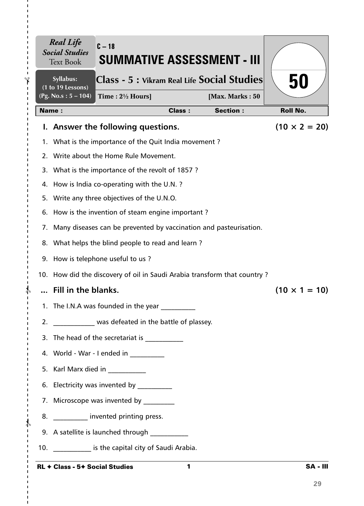|     | <b>Real Life</b><br><b>Social Studies</b><br><b>Text Book</b> | $C - 18$<br>SUMMATIVE ASSESSMENT - III                                   |               |                 |                      |
|-----|---------------------------------------------------------------|--------------------------------------------------------------------------|---------------|-----------------|----------------------|
|     | Syllabus:<br>(1 to 19 Lessons)                                | Class - 5 : Vikram Real Life Social Studies                              |               |                 | 50                   |
|     | $(Pg. No.s: 5 - 104)$                                         | Time: $2\frac{1}{2}$ Hours]                                              |               | [Max. Marks: 50 |                      |
|     | <b>Name:</b>                                                  |                                                                          | <b>Class:</b> | <b>Section:</b> | <b>Roll No.</b>      |
| Ь.  |                                                               | Answer the following questions.                                          |               |                 | $(10 \times 2 = 20)$ |
| 1.  |                                                               | What is the importance of the Quit India movement?                       |               |                 |                      |
| 2.  |                                                               | Write about the Home Rule Movement.                                      |               |                 |                      |
| 3.  |                                                               | What is the importance of the revolt of 1857?                            |               |                 |                      |
| 4.  |                                                               | How is India co-operating with the U.N.?                                 |               |                 |                      |
| 5.  |                                                               | Write any three objectives of the U.N.O.                                 |               |                 |                      |
| 6.  |                                                               | How is the invention of steam engine important?                          |               |                 |                      |
|     |                                                               | 7. Many diseases can be prevented by vaccination and pasteurisation.     |               |                 |                      |
| 8.  |                                                               | What helps the blind people to read and learn?                           |               |                 |                      |
| 9.  |                                                               | How is telephone useful to us?                                           |               |                 |                      |
|     |                                                               | 10. How did the discovery of oil in Saudi Arabia transform that country? |               |                 |                      |
|     | Fill in the blanks.                                           |                                                                          |               |                 | $(10 \times 1 = 10)$ |
|     |                                                               | 1. The I.N.A was founded in the year                                     |               |                 |                      |
| 2.  |                                                               | was defeated in the battle of plassey.                                   |               |                 |                      |
| 3.  |                                                               |                                                                          |               |                 |                      |
|     |                                                               | 4. World - War - I ended in __________                                   |               |                 |                      |
|     |                                                               | 5. Karl Marx died in __________                                          |               |                 |                      |
|     |                                                               | 6. Electricity was invented by                                           |               |                 |                      |
|     |                                                               | 7. Microscope was invented by _________                                  |               |                 |                      |
| 8.  |                                                               | __________ invented printing press.                                      |               |                 |                      |
|     |                                                               | 9. A satellite is launched through                                       |               |                 |                      |
| 10. |                                                               | ____________ is the capital city of Saudi Arabia.                        |               |                 |                      |
|     |                                                               |                                                                          |               |                 |                      |

 $-\frac{1}{6}$ 

п

 $\blacksquare$  $\blacksquare$ т

 $-\frac{4}{5}$ 

 $\mathbf{I}$  $\mathbf I$  $\mathbf{I}$  $\blacksquare$ 

I. п  $\mathbf I$  $\mathbf{I}$  $\mathbf I$  $\mathbf{I}$ 

 $-\frac{1}{2}$ 

 $\mathbf{I}$  $\mathbf I$  $\mathbf I$  $\blacksquare$  $\mathbf I$ I.  $\blacksquare$ 

 $\blacksquare$  $\blacksquare$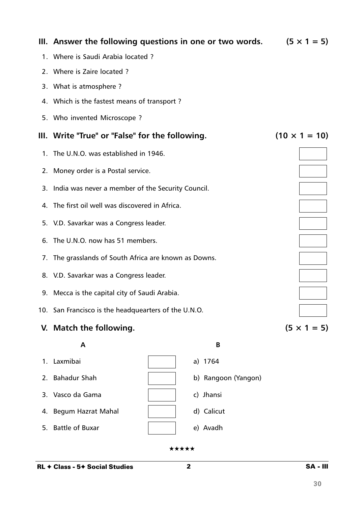|    | III. Answer the following questions in one or two words. | $(5 \times 1 = 5)$   |
|----|----------------------------------------------------------|----------------------|
|    | 1. Where is Saudi Arabia located?                        |                      |
|    | 2. Where is Zaire located?                               |                      |
|    | 3. What is atmosphere?                                   |                      |
|    | 4. Which is the fastest means of transport?              |                      |
|    | 5. Who invented Microscope?                              |                      |
| Ш. | Write "True" or "False" for the following.               | $(10 \times 1 = 10)$ |
| 1. | The U.N.O. was established in 1946.                      |                      |
|    | 2. Money order is a Postal service.                      |                      |
|    | 3. India was never a member of the Security Council.     |                      |
|    | 4. The first oil well was discovered in Africa.          |                      |
|    | 5. V.D. Savarkar was a Congress leader.                  |                      |
| 6. | The U.N.O. now has 51 members.                           |                      |
|    | 7. The grasslands of South Africa are known as Downs.    |                      |
|    | 8. V.D. Savarkar was a Congress leader.                  |                      |
|    | 9. Mecca is the capital city of Saudi Arabia.            |                      |
|    | 10. San Francisco is the headquearters of the U.N.O.     |                      |
|    | V. Match the following.                                  | $(5 \times 1 = 5)$   |